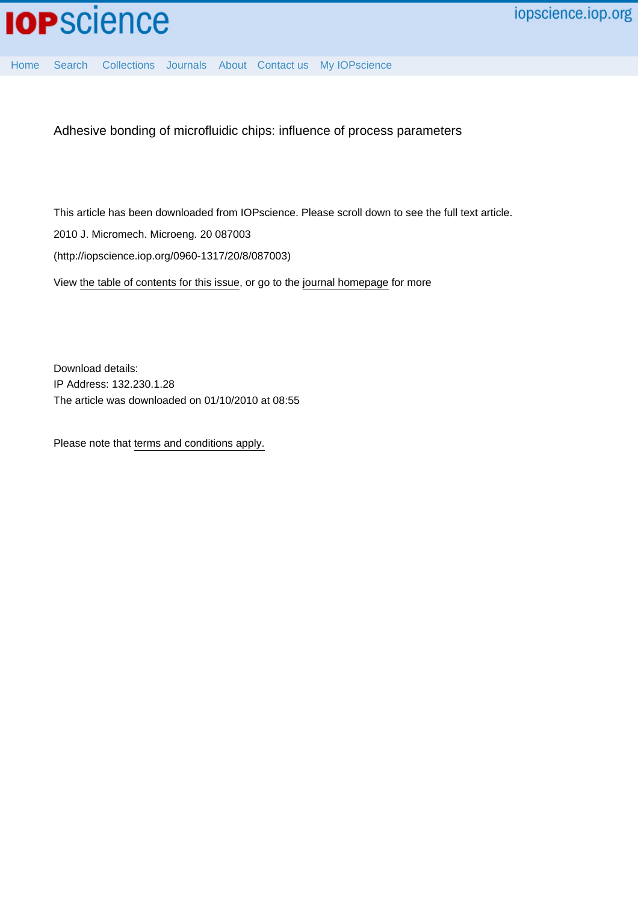

[Home](http://iopscience.iop.org/) [Search](http://iopscience.iop.org/search) [Collections](http://iopscience.iop.org/collections) [Journals](http://iopscience.iop.org/journals) [About](http://iopscience.iop.org/page/aboutioppublishing) [Contact us](http://iopscience.iop.org/contact) [My IOPscience](http://iopscience.iop.org/myiopscience)

Adhesive bonding of microfluidic chips: influence of process parameters

This article has been downloaded from IOPscience. Please scroll down to see the full text article. 2010 J. Micromech. Microeng. 20 087003 (http://iopscience.iop.org/0960-1317/20/8/087003) View [the table of contents for this issue](http://iopscience.iop.org/0960-1317/20/8), or go to the [journal homepage](http://iopscience.iop.org/0960-1317) for more

Download details: IP Address: 132.230.1.28 The article was downloaded on 01/10/2010 at 08:55

Please note that [terms and conditions apply.](http://iopscience.iop.org/page/terms)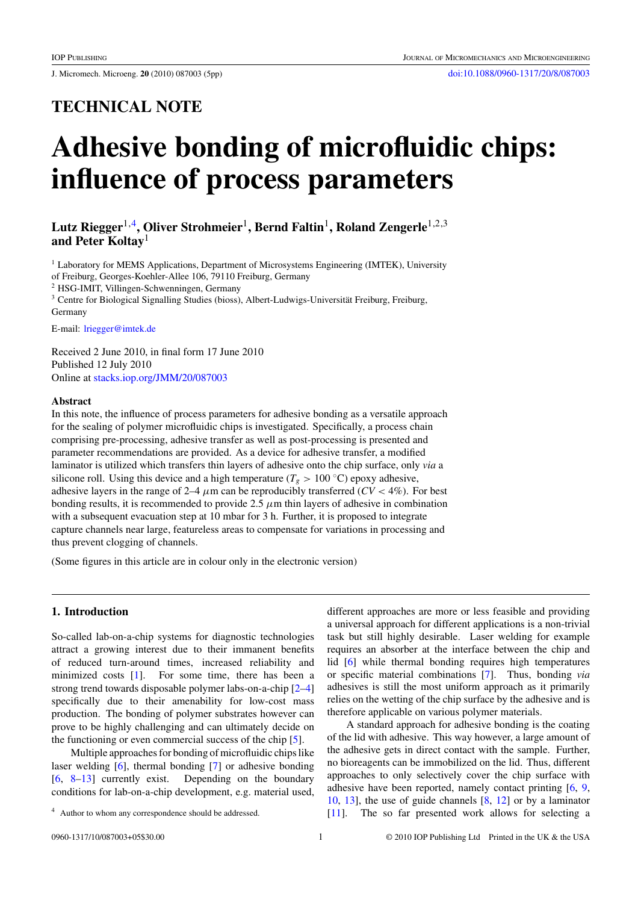J. Micromech. Microeng. **20** (2010) 087003 (5pp) [doi:10.1088/0960-1317/20/8/087003](http://dx.doi.org/10.1088/0960-1317/20/8/087003)

## **TECHNICAL NOTE**

# **Adhesive bonding of microfluidic chips: influence of process parameters**

### **Lutz Riegger**1,4**, Oliver Strohmeier**1**, Bernd Faltin**1**, Roland Zengerle**1,2,3 **and Peter Koltay**<sup>1</sup>

<sup>1</sup> Laboratory for MEMS Applications, Department of Microsystems Engineering (IMTEK), University of Freiburg, Georges-Koehler-Allee 106, 79110 Freiburg, Germany <sup>2</sup> HSG-IMIT, Villingen-Schwenningen, Germany <sup>3</sup> Centre for Biological Signalling Studies (bioss), Albert-Ludwigs-Universität Freiburg, Freiburg, Germany

E-mail: [lriegger@imtek.de](mailto:lriegger@imtek.de)

Received 2 June 2010, in final form 17 June 2010 Published 12 July 2010 Online at [stacks.iop.org/JMM/20/087003](http://stacks.iop.org/JMM/20/087003)

#### **Abstract**

In this note, the influence of process parameters for adhesive bonding as a versatile approach for the sealing of polymer microfluidic chips is investigated. Specifically, a process chain comprising pre-processing, adhesive transfer as well as post-processing is presented and parameter recommendations are provided. As a device for adhesive transfer, a modified laminator is utilized which transfers thin layers of adhesive onto the chip surface, only *via* a silicone roll. Using this device and a high temperature ( $T_g$  > 100 °C) epoxy adhesive, adhesive layers in the range of 2–4  $\mu$ m can be reproducibly transferred ( $CV$  < 4%). For best bonding results, it is recommended to provide 2.5 *μ*m thin layers of adhesive in combination with a subsequent evacuation step at 10 mbar for 3 h. Further, it is proposed to integrate capture channels near large, featureless areas to compensate for variations in processing and thus prevent clogging of channels.

(Some figures in this article are in colour only in the electronic version)

#### **1. Introduction**

So-called lab-on-a-chip systems for diagnostic technologies attract a growing interest due to their immanent benefits of reduced turn-around times, increased reliability and minimized costs [\[1\]](#page-5-0). For some time, there has been a strong trend towards disposable polymer labs-on-a-chip [\[2–4\]](#page-5-0) specifically due to their amenability for low-cost mass production. The bonding of polymer substrates however can prove to be highly challenging and can ultimately decide on the functioning or even commercial success of the chip [\[5](#page-5-0)].

Multiple approaches for bonding of microfluidic chips like laser welding [\[6\]](#page-5-0), thermal bonding [\[7](#page-5-0)] or adhesive bonding  $[6, 8-13]$  $[6, 8-13]$  currently exist. Depending on the boundary conditions for lab-on-a-chip development, e.g. material used,

different approaches are more or less feasible and providing a universal approach for different applications is a non-trivial task but still highly desirable. Laser welding for example requires an absorber at the interface between the chip and lid [\[6](#page-5-0)] while thermal bonding requires high temperatures or specific material combinations [\[7](#page-5-0)]. Thus, bonding *via* adhesives is still the most uniform approach as it primarily relies on the wetting of the chip surface by the adhesive and is therefore applicable on various polymer materials.

A standard approach for adhesive bonding is the coating of the lid with adhesive. This way however, a large amount of the adhesive gets in direct contact with the sample. Further, no bioreagents can be immobilized on the lid. Thus, different approaches to only selectively cover the chip surface with adhesive have been reported, namely contact printing [\[6](#page-5-0), [9,](#page-5-0) [10](#page-5-0), [13](#page-5-0)], the use of guide channels [\[8](#page-5-0), [12\]](#page-5-0) or by a laminator [\[11](#page-5-0)]. The so far presented work allows for selecting a

<sup>4</sup> Author to whom any correspondence should be addressed.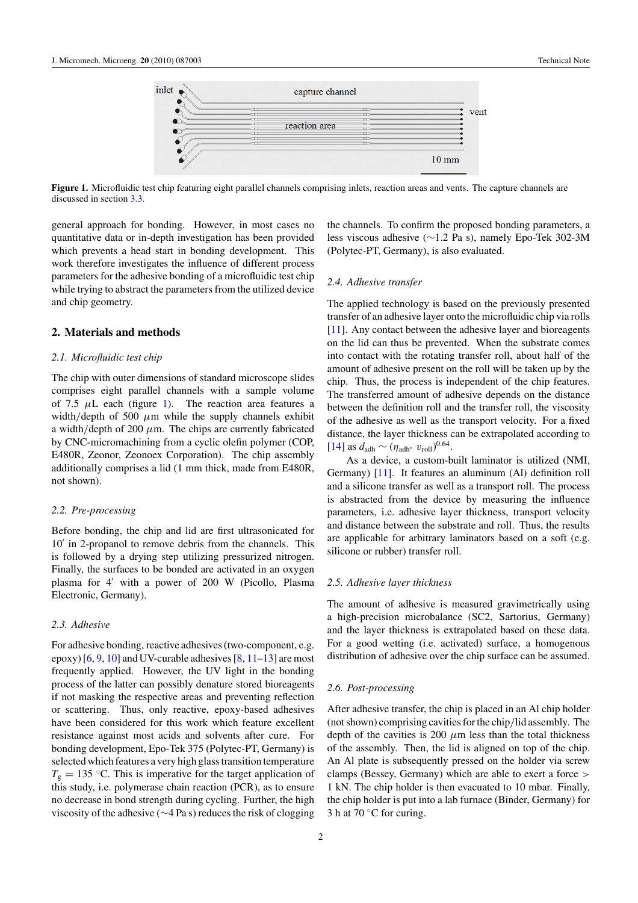<span id="page-2-0"></span>

**Figure 1.** Microfluidic test chip featuring eight parallel channels comprising inlets, reaction areas and vents. The capture channels are discussed in section [3.3.](#page-3-0)

general approach for bonding. However, in most cases no quantitative data or in-depth investigation has been provided which prevents a head start in bonding development. This work therefore investigates the influence of different process parameters for the adhesive bonding of a microfluidic test chip while trying to abstract the parameters from the utilized device and chip geometry.

#### **2. Materials and methods**

#### *2.1. Microfluidic test chip*

The chip with outer dimensions of standard microscope slides comprises eight parallel channels with a sample volume of 7.5  $\mu$ L each (figure 1). The reaction area features a width*/*depth of 500 *μ*m while the supply channels exhibit a width*/*depth of 200 *μ*m. The chips are currently fabricated by CNC-micromachining from a cyclic olefin polymer (COP, E480R, Zeonor, Zeonoex Corporation). The chip assembly additionally comprises a lid (1 mm thick, made from E480R, not shown).

#### *2.2. Pre-processing*

Before bonding, the chip and lid are first ultrasonicated for 10' in 2-propanol to remove debris from the channels. This is followed by a drying step utilizing pressurized nitrogen. Finally, the surfaces to be bonded are activated in an oxygen plasma for 4' with a power of 200 W (Picollo, Plasma Electronic, Germany).

#### *2.3. Adhesive*

For adhesive bonding, reactive adhesives (two-component, e.g. epoxy)  $[6, 9, 10]$  $[6, 9, 10]$  $[6, 9, 10]$  $[6, 9, 10]$  $[6, 9, 10]$  $[6, 9, 10]$  and UV-curable adhesives  $[8, 11-13]$  $[8, 11-13]$  are most frequently applied. However, the UV light in the bonding process of the latter can possibly denature stored bioreagents if not masking the respective areas and preventing reflection or scattering. Thus, only reactive, epoxy-based adhesives have been considered for this work which feature excellent resistance against most acids and solvents after cure. For bonding development, Epo-Tek 375 (Polytec-PT, Germany) is selected which features a very high glass transition temperature  $T_g = 135$  °C. This is imperative for the target application of this study, i.e. polymerase chain reaction (PCR), as to ensure no decrease in bond strength during cycling. Further, the high viscosity of the adhesive (∼4 Pa s) reduces the risk of clogging the channels. To confirm the proposed bonding parameters, a less viscous adhesive (∼1.2 Pa s), namely Epo-Tek 302-3M (Polytec-PT, Germany), is also evaluated.

#### *2.4. Adhesive transfer*

The applied technology is based on the previously presented transfer of an adhesive layer onto the microfluidic chip via rolls [\[11](#page-5-0)]. Any contact between the adhesive layer and bioreagents on the lid can thus be prevented. When the substrate comes into contact with the rotating transfer roll, about half of the amount of adhesive present on the roll will be taken up by the chip. Thus, the process is independent of the chip features. The transferred amount of adhesive depends on the distance between the definition roll and the transfer roll, the viscosity of the adhesive as well as the transport velocity. For a fixed distance, the layer thickness can be extrapolated according to  $[14]$  $[14]$  as  $d_{\text{adh}} \sim (\eta_{\text{adh}^*} \ v_{\text{roll}})^{0.64}$ .

As a device, a custom-built laminator is utilized (NMI, Germany) [\[11](#page-5-0)]. It features an aluminum (Al) definition roll and a silicone transfer as well as a transport roll. The process is abstracted from the device by measuring the influence parameters, i.e. adhesive layer thickness, transport velocity and distance between the substrate and roll. Thus, the results are applicable for arbitrary laminators based on a soft (e.g. silicone or rubber) transfer roll.

#### *2.5. Adhesive layer thickness*

The amount of adhesive is measured gravimetrically using a high-precision microbalance (SC2, Sartorius, Germany) and the layer thickness is extrapolated based on these data. For a good wetting (i.e. activated) surface, a homogenous distribution of adhesive over the chip surface can be assumed.

#### *2.6. Post-processing*

After adhesive transfer, the chip is placed in an Al chip holder (not shown) comprising cavities for the chip*/*lid assembly. The depth of the cavities is 200  $\mu$ m less than the total thickness of the assembly. Then, the lid is aligned on top of the chip. An Al plate is subsequently pressed on the holder via screw clamps (Bessey, Germany) which are able to exert a force *>* 1 kN. The chip holder is then evacuated to 10 mbar. Finally, the chip holder is put into a lab furnace (Binder, Germany) for 3 h at 70 $\degree$ C for curing.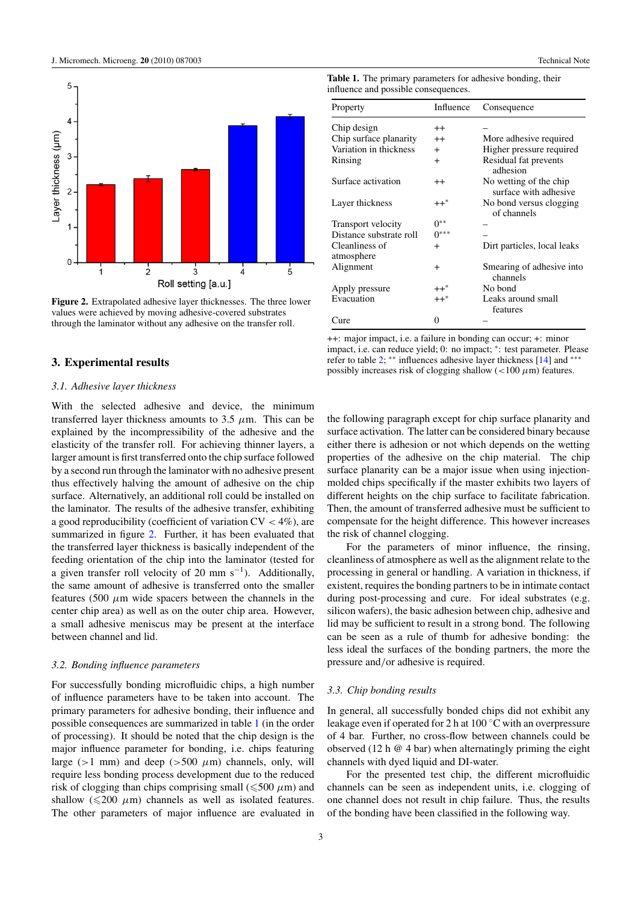<span id="page-3-0"></span>

**Figure 2.** Extrapolated adhesive layer thicknesses. The three lower values were achieved by moving adhesive-covered substrates through the laminator without any adhesive on the transfer roll.

#### **3. Experimental results**

#### *3.1. Adhesive layer thickness*

With the selected adhesive and device, the minimum transferred layer thickness amounts to 3.5  $\mu$ m. This can be explained by the incompressibility of the adhesive and the elasticity of the transfer roll. For achieving thinner layers, a larger amount is first transferred onto the chip surface followed by a second run through the laminator with no adhesive present thus effectively halving the amount of adhesive on the chip surface. Alternatively, an additional roll could be installed on the laminator. The results of the adhesive transfer, exhibiting a good reproducibility (coefficient of variation CV *<* 4%), are summarized in figure 2. Further, it has been evaluated that the transferred layer thickness is basically independent of the feeding orientation of the chip into the laminator (tested for a given transfer roll velocity of 20 mm s<sup>-1</sup>). Additionally, the same amount of adhesive is transferred onto the smaller features (500  $\mu$ m wide spacers between the channels in the center chip area) as well as on the outer chip area. However, a small adhesive meniscus may be present at the interface between channel and lid.

#### *3.2. Bonding influence parameters*

For successfully bonding microfluidic chips, a high number of influence parameters have to be taken into account. The primary parameters for adhesive bonding, their influence and possible consequences are summarized in table 1 (in the order of processing). It should be noted that the chip design is the major influence parameter for bonding, i.e. chips featuring large ( $>1$  mm) and deep ( $>500 \mu$ m) channels, only, will require less bonding process development due to the reduced risk of clogging than chips comprising small ( $\leqslant$ 500  $\mu$ m) and shallow  $(\leq 200 \mu m)$  channels as well as isolated features. The other parameters of major influence are evaluated in

**Table 1.** The primary parameters for adhesive bonding, their

| Property                     | Influence      | Consequence                                     |  |  |
|------------------------------|----------------|-------------------------------------------------|--|--|
| Chip design                  | $^{++}$        |                                                 |  |  |
| Chip surface planarity       | $^{++}$        | More adhesive required                          |  |  |
| Variation in thickness       | $+$            | Higher pressure required                        |  |  |
| Rinsing                      | $+$            | Residual fat prevents<br>adhesion               |  |  |
| Surface activation           | $^{++}$        | No wetting of the chip<br>surface with adhesive |  |  |
| Layer thickness              | $++^*$         | No bond versus clogging<br>of channels          |  |  |
| Transport velocity           | $0^{**}$       |                                                 |  |  |
| Distance substrate roll      | $0***$         |                                                 |  |  |
| Cleanliness of<br>atmosphere | $\overline{+}$ | Dirt particles, local leaks                     |  |  |
| Alignment                    | $\pm$          | Smearing of adhesive into<br>channels           |  |  |
| Apply pressure               | $++^*$         | No bond                                         |  |  |
| Evacuation                   | $++^*$         | Leaks around small<br>features                  |  |  |
| Cure                         | 0              |                                                 |  |  |

++: major impact, i.e. a failure in bonding can occur; +: minor impact, i.e. can reduce yield; 0: no impact; <sup>∗</sup>: test parameter. Please refer to table [2;](#page-4-0) ∗∗ influences adhesive layer thickness [\[14](#page-5-0)] and ∗∗∗ possibly increases risk of clogging shallow (*<*100 *μ*m) features.

the following paragraph except for chip surface planarity and surface activation. The latter can be considered binary because either there is adhesion or not which depends on the wetting properties of the adhesive on the chip material. The chip surface planarity can be a major issue when using injectionmolded chips specifically if the master exhibits two layers of different heights on the chip surface to facilitate fabrication. Then, the amount of transferred adhesive must be sufficient to compensate for the height difference. This however increases the risk of channel clogging.

For the parameters of minor influence, the rinsing, cleanliness of atmosphere as well as the alignment relate to the processing in general or handling. A variation in thickness, if existent, requires the bonding partners to be in intimate contact during post-processing and cure. For ideal substrates (e.g. silicon wafers), the basic adhesion between chip, adhesive and lid may be sufficient to result in a strong bond. The following can be seen as a rule of thumb for adhesive bonding: the less ideal the surfaces of the bonding partners, the more the pressure and*/*or adhesive is required.

#### *3.3. Chip bonding results*

In general, all successfully bonded chips did not exhibit any leakage even if operated for 2 h at 100 ◦C with an overpressure of 4 bar. Further, no cross-flow between channels could be observed (12 h  $\omega$  4 bar) when alternatingly priming the eight channels with dyed liquid and DI-water.

For the presented test chip, the different microfluidic channels can be seen as independent units, i.e. clogging of one channel does not result in chip failure. Thus, the results of the bonding have been classified in the following way.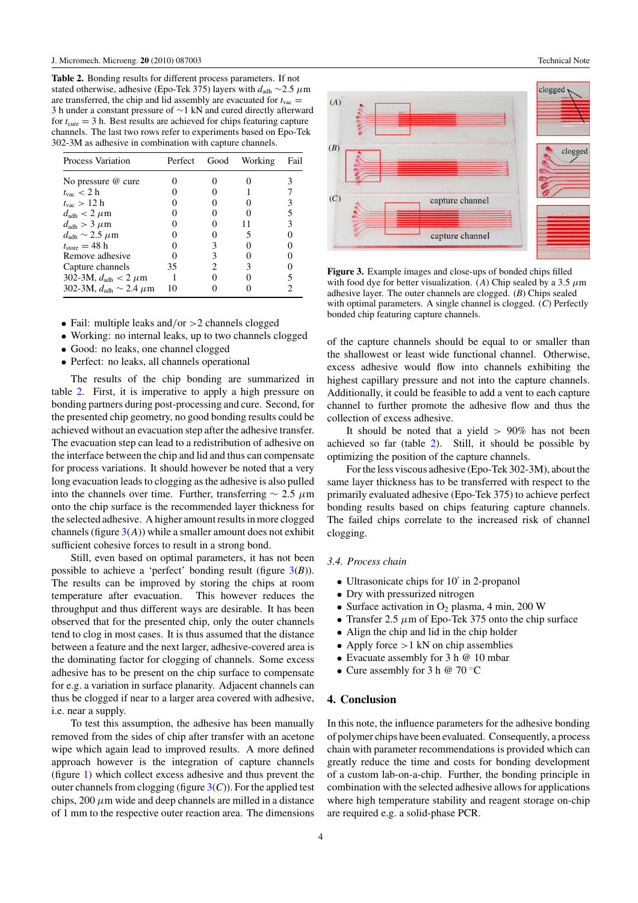<span id="page-4-0"></span>**Table 2.** Bonding results for different process parameters. If not stated otherwise, adhesive (Epo-Tek 375) layers with *d*adh ∼2.5 *μ*m are transferred, the chip and lid assembly are evacuated for  $t_{\text{vac}} =$ 3 h under a constant pressure of ∼1 kN and cured directly afterward for  $t_{\text{cure}} = 3$  h. Best results are achieved for chips featuring capture channels. The last two rows refer to experiments based on Epo-Tek 302-3M as adhesive in combination with capture channels.

| <b>Process Variation</b>                         | Perfect | Good | Working | Fail |
|--------------------------------------------------|---------|------|---------|------|
| No pressure @ cure                               |         |      |         |      |
| $t_{\rm vac}$ < 2 h                              |         |      |         |      |
| $t_{\rm vac} > 12$ h                             |         |      |         |      |
| $d_{\text{adh}} < 2 \ \mu \text{m}$              |         |      |         |      |
| $d_{\text{adh}} > 3 \ \mu \text{m}$              |         |      |         |      |
| $d_{\text{adh}} \sim 2.5 \ \mu \text{m}$         |         |      |         |      |
| $t_{\rm store} = 48 \; h$                        |         |      |         |      |
| Remove adhesive                                  |         |      |         |      |
| Capture channels                                 | 35      |      |         |      |
| 302-3M, $d_{\text{adh}} < 2 \mu m$               |         |      |         |      |
| 302-3M, $d_{\text{adh}} \sim 2.4 \ \mu \text{m}$ | 10      |      |         |      |

- Fail: multiple leaks and*/*or *>*2 channels clogged
- Working: no internal leaks, up to two channels clogged
- Good: no leaks, one channel clogged
- Perfect: no leaks, all channels operational

The results of the chip bonding are summarized in table 2. First, it is imperative to apply a high pressure on bonding partners during post-processing and cure. Second, for the presented chip geometry, no good bonding results could be achieved without an evacuation step after the adhesive transfer. The evacuation step can lead to a redistribution of adhesive on the interface between the chip and lid and thus can compensate for process variations. It should however be noted that a very long evacuation leads to clogging as the adhesive is also pulled into the channels over time. Further, transferring  $\sim 2.5 \mu m$ onto the chip surface is the recommended layer thickness for the selected adhesive. A higher amount results in more clogged channels (figure  $3(A)$ ) while a smaller amount does not exhibit sufficient cohesive forces to result in a strong bond.

Still, even based on optimal parameters, it has not been possible to achieve a 'perfect' bonding result (figure 3(*B*)). The results can be improved by storing the chips at room temperature after evacuation. This however reduces the throughput and thus different ways are desirable. It has been observed that for the presented chip, only the outer channels tend to clog in most cases. It is thus assumed that the distance between a feature and the next larger, adhesive-covered area is the dominating factor for clogging of channels. Some excess adhesive has to be present on the chip surface to compensate for e.g. a variation in surface planarity. Adjacent channels can thus be clogged if near to a larger area covered with adhesive, i.e. near a supply.

To test this assumption, the adhesive has been manually removed from the sides of chip after transfer with an acetone wipe which again lead to improved results. A more defined approach however is the integration of capture channels (figure [1\)](#page-2-0) which collect excess adhesive and thus prevent the outer channels from clogging (figure  $3(C)$ ). For the applied test chips,  $200 \mu m$  wide and deep channels are milled in a distance of 1 mm to the respective outer reaction area. The dimensions





**Figure 3.** Example images and close-ups of bonded chips filled with food dye for better visualization. (*A*) Chip sealed by a 3.5  $\mu$ m adhesive layer. The outer channels are clogged. (*B*) Chips sealed with optimal parameters. A single channel is clogged. (*C*) Perfectly bonded chip featuring capture channels.

of the capture channels should be equal to or smaller than the shallowest or least wide functional channel. Otherwise, excess adhesive would flow into channels exhibiting the highest capillary pressure and not into the capture channels. Additionally, it could be feasible to add a vent to each capture channel to further promote the adhesive flow and thus the collection of excess adhesive.

It should be noted that a yield *>* 90% has not been achieved so far (table 2). Still, it should be possible by optimizing the position of the capture channels.

For the less viscous adhesive (Epo-Tek 302-3M), about the same layer thickness has to be transferred with respect to the primarily evaluated adhesive (Epo-Tek 375) to achieve perfect bonding results based on chips featuring capture channels. The failed chips correlate to the increased risk of channel clogging.

#### *3.4. Process chain*

- $\bullet$  Ultrasonicate chips for 10' in 2-propanol
- Dry with pressurized nitrogen
- Surface activation in  $O_2$  plasma, 4 min, 200 W
- Transfer 2.5  $\mu$ m of Epo-Tek 375 onto the chip surface
- Align the chip and lid in the chip holder
- Apply force *>*1 kN on chip assemblies
- Evacuate assembly for 3 h @ 10 mbar
- Cure assembly for 3 h  $\omega$  70 °C

#### **4. Conclusion**

In this note, the influence parameters for the adhesive bonding of polymer chips have been evaluated. Consequently, a process chain with parameter recommendations is provided which can greatly reduce the time and costs for bonding development of a custom lab-on-a-chip. Further, the bonding principle in combination with the selected adhesive allows for applications where high temperature stability and reagent storage on-chip are required e.g. a solid-phase PCR.